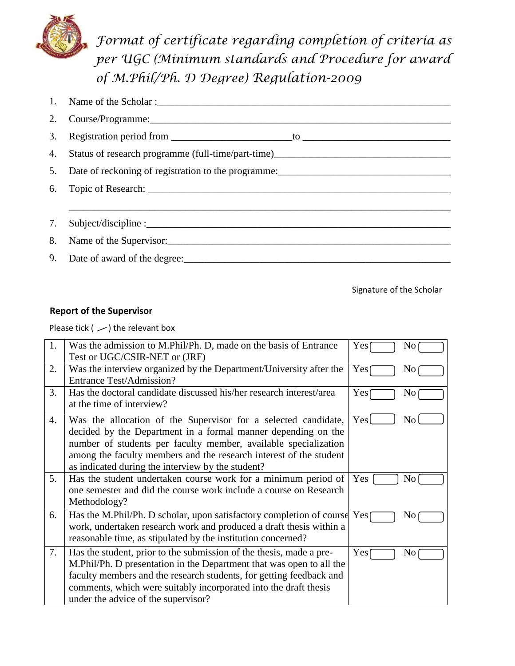

*Format of certificate regarding completion of criteria as per UGC (Minimum standards and Procedure for award of M.Phil/Ph. D Degree) Regulation-2009*

| 1. |                                                                                                               |
|----|---------------------------------------------------------------------------------------------------------------|
|    | 2. Course/Programme: 2008. 2009. 2010. 2010. 2010. 2010. 2010. 2010. 2010. 2010. 2010. 2010. 2010. 2010. 2010 |
|    |                                                                                                               |
|    | 4. Status of research programme (full-time/part-time)____________________________                             |
|    |                                                                                                               |
|    |                                                                                                               |
|    |                                                                                                               |
|    |                                                                                                               |
|    |                                                                                                               |
|    |                                                                                                               |

Signature of the Scholar

## **Report of the Supervisor**

Please tick ( $\cup$ ) the relevant box

| 1. | Was the admission to M.Phil/Ph. D, made on the basis of Entrance                                                                                                                                                                                                                                                              | Yes<br>N <sub>0</sub> |
|----|-------------------------------------------------------------------------------------------------------------------------------------------------------------------------------------------------------------------------------------------------------------------------------------------------------------------------------|-----------------------|
|    | Test or UGC/CSIR-NET or (JRF)                                                                                                                                                                                                                                                                                                 |                       |
| 2. | Was the interview organized by the Department/University after the<br><b>Entrance Test/Admission?</b>                                                                                                                                                                                                                         | Yes<br>No             |
| 3. | Has the doctoral candidate discussed his/her research interest/area<br>at the time of interview?                                                                                                                                                                                                                              | Yes<br>No             |
| 4. | Was the allocation of the Supervisor for a selected candidate,<br>decided by the Department in a formal manner depending on the<br>number of students per faculty member, available specialization<br>among the faculty members and the research interest of the student<br>as indicated during the interview by the student? | Yes<br>N <sub>0</sub> |
| 5. | Has the student undertaken course work for a minimum period of<br>one semester and did the course work include a course on Research<br>Methodology?                                                                                                                                                                           | Yes<br>No             |
| 6. | Has the M.Phil/Ph. D scholar, upon satisfactory completion of course $Yes \cap$<br>work, undertaken research work and produced a draft thesis within a<br>reasonable time, as stipulated by the institution concerned?                                                                                                        | No                    |
| 7. | Has the student, prior to the submission of the thesis, made a pre-<br>M.Phil/Ph. D presentation in the Department that was open to all the<br>faculty members and the research students, for getting feedback and<br>comments, which were suitably incorporated into the draft thesis<br>under the advice of the supervisor? | Yes<br>N <sub>0</sub> |